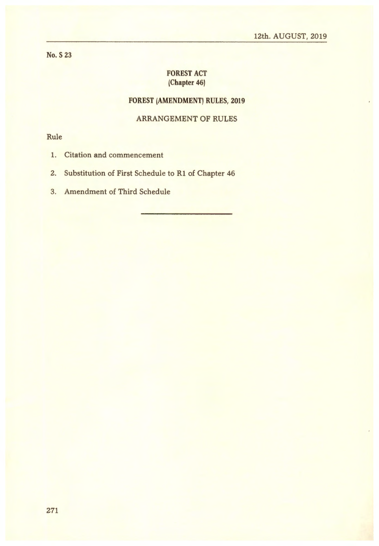No. S 23

## FOREST ACT (Chapter 46)

# FOREST (AMENDMENT) RULES, 2019

## ARRANGEMENT OF RULES

Rule

- 1. Citation and commencement
- 2. Substitution of First Schedule to R1 of Chapter 46
- 3. Amendment of Third Schedule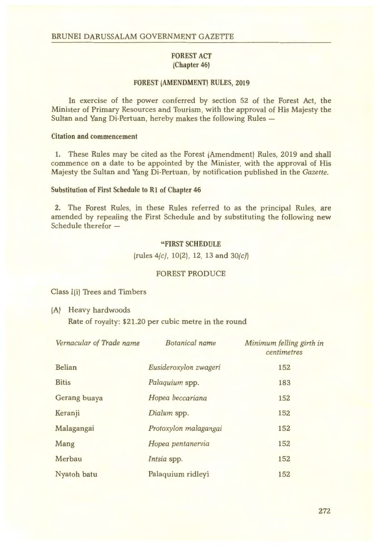### FOREST ACT (Chapter 46)

#### FOREST (AMENDMENT) RULES, 2019

In exercise of the power conferred by section 52 of the Forest Act, the Minister of Primary Resources and Tourism, with the approval of His Majesty the Sultan and Yang Di-Pertuan, hereby makes the following Rules -

### Citation and commencement

1. These Rules may be cited as the Forest (Amendment) Rules, 2019 and shall commence on a date to be appointed by the Minister, with the approval of His Majesty the Sultan and Yang Di-Pertuan, by notification published in the *Gazette.* 

#### Substitution of First Schedule to R1 of Chapter 46

2. The Forest Rules, in these Rules referred to as the principal Rules, are amended by repealing the First Schedule and by substituting the following new Schedule therefor -

### **"FIRST SCHEDULE**

(rules  $4/c$ , 10(2), 12, 13 and  $30/c$ )

### FOREST PRODUCE

Class I(i) Trees and Timbers

(A) Heavy hardwoods

Rate of royalty: \$21.20 per cubic metre in the round

| Vernacular of Trade name | <b>Botanical</b> name | Minimum felling girth in<br>centimetres |
|--------------------------|-----------------------|-----------------------------------------|
| <b>Belian</b>            | Eusideroxylon zwageri | 152                                     |
| <b>Bitis</b>             | Palaquium spp.        | 183                                     |
| Gerang buaya             | Hopea beccariana      | 152                                     |
| Keranji                  | Dialum spp.           | 152                                     |
| Malagangai               | Protoxylon malagangai | 152                                     |
| Mang                     | Hopea pentanervia     | 152                                     |
| Merbau                   | Intsia spp.           | 152                                     |
| Nyatoh batu              | Palaquium ridleyi     | 152                                     |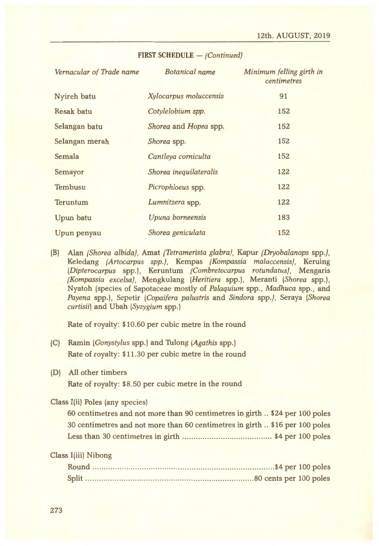| Vernacular of Trade name | <b>Botanical name</b>  | Minimum felling girth in<br>centimetres |
|--------------------------|------------------------|-----------------------------------------|
| Nyireh batu              | Xylocarpus moluccensis | 91                                      |
| Resak batu               | Cotylelobium spp.      | 152                                     |
| Selangan batu            | Shorea and Hopea spp.  | 152                                     |
| Selangan merah           | Shorea spp.            | 152                                     |
| Semala                   | Cantleya corniculta    | 152                                     |
| Semayor                  | Shorea inequilateralis | 122                                     |
| Tembusu                  | Picrophloeus spp.      | 122                                     |
| Teruntum                 | Lumnitzera spp.        | 122                                     |
| Upun batu                | Upuna borneensis       | 183                                     |
| Upun penyau              | Shorea geniculata      | 152                                     |

#### **FIRST SCHEDULE** - *(Continued)*

(B) Alan *(Shorea albidaj,* Amat *(Tetramerista glabraj,* Kapur *(Dryobalanops* spp.j, Keledang *(Artocarpus spp.j,* Kempas *(Kompassia malaccensisj,* Keruing *(Dipterocarpus* spp.), Keruntum *(Combretocarpus rotundatusj,* Mengaris *(Kompassia excelsaj,* Mengkulang *(Heritiera* spp.), Meranti *(Shorea* spp.), Nyatoh (species of Sapotaceae mostly of *Palaquium* spp., *Madhuca* spp., and *Payena* spp.), Sepetir *(Copaifera palustris* and *Sindora* spp.J, Seraya *(Shorea curtisii)* and Ubah *(Syzygium* spp.)

Rate of royalty: \$10.60 per cubic metre in the round

- (C) Ramin *(Gonystylus* spp.) and Thlong *(Agathis* spp.) Rate of royalty: \$11.30 per cubic metre in the round
- (D) All other timbers

Rate of royalty: \$8.50 per cubic metre in the round

Class I(ii) Poles (any species)

60 centimetres and not more than 90 centimetres in girth .. \$24 per 100 poles 30 centimetres and not more than 60 centimetres in girth .. \$16 per 100 poles Less than 30 centimetres in girth ........................................ \$4 per 100 poles

#### Class I(iii) Nibong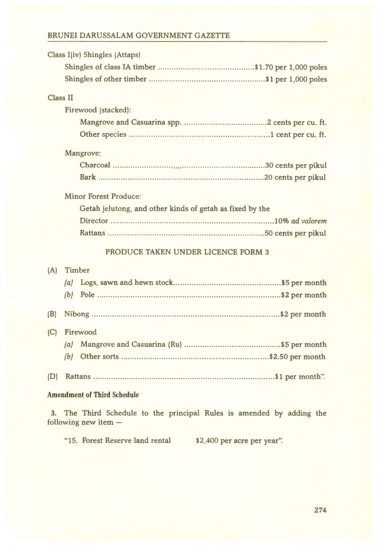## BRUNEI DARUSSALAM GOVERNMENT GAZETTE

|          | Class I(iv) Shingles (Attaps)                            |
|----------|----------------------------------------------------------|
|          |                                                          |
|          |                                                          |
| Class II |                                                          |
|          | Firewood (stacked):                                      |
|          |                                                          |
|          |                                                          |
|          | Mangrove:                                                |
|          |                                                          |
|          |                                                          |
|          | <b>Minor Forest Produce:</b>                             |
|          | Getah jelutong, and other kinds of getah as fixed by the |
|          |                                                          |
|          |                                                          |
|          | PRODUCE TAKEN UNDER LICENCE FORM 3                       |
| (A)      | Timber                                                   |
|          |                                                          |
|          |                                                          |
| (B)      |                                                          |
| C        | Firewood                                                 |
|          | a                                                        |
|          | (b)                                                      |
| (D)      |                                                          |
|          | <b>Amendment of Third Schedule</b>                       |

3. The Third Schedule to the principal Rules is amended by adding the following new item  $-$ 

"15. Forest Reserve land rental \$2,400 per acre per year".